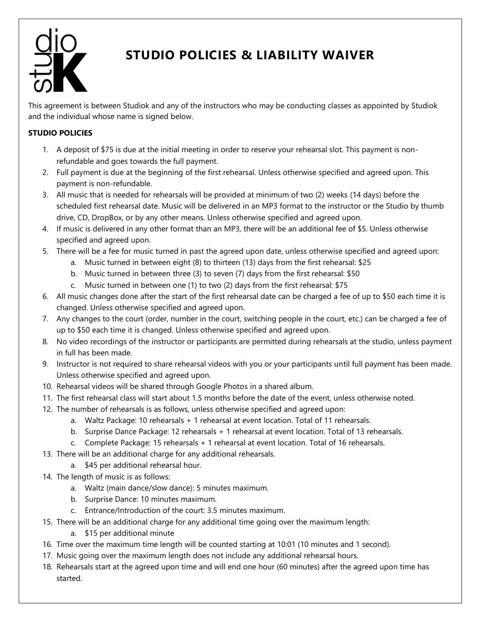

## **STUDIO POLICIES & LIABILITY WAIVER**

This agreement is between Studiok and any of the instructors who may be conducting classes as appointed by Studiok and the individual whose name is signed below.

## **STUDIO POLICIES**

- 1. A deposit of \$75 is due at the initial meeting in order to reserve your rehearsal slot. This payment is nonrefundable and goes towards the full payment.
- 2. Full payment is due at the beginning of the first rehearsal. Unless otherwise specified and agreed upon. This payment is non-refundable.
- 3. All music that is needed for rehearsals will be provided at minimum of two (2) weeks (14 days) before the scheduled first rehearsal date. Music will be delivered in an MP3 format to the instructor or the Studio by thumb drive, CD, DropBox, or by any other means. Unless otherwise specified and agreed upon.
- 4. If music is delivered in any other format than an MP3, there will be an additional fee of \$5. Unless otherwise specified and agreed upon.
- 5. There will be a fee for music turned in past the agreed upon date, unless otherwise specified and agreed upon:
	- a. Music turned in between eight (8) to thirteen (13) days from the first rehearsal: \$25
	- b. Music turned in between three (3) to seven (7) days from the first rehearsal: \$50
	- c. Music turned in between one (1) to two (2) days from the first rehearsal: \$75
- 6. All music changes done after the start of the first rehearsal date can be charged a fee of up to \$50 each time it is changed. Unless otherwise specified and agreed upon.
- 7. Any changes to the court (order, number in the court, switching people in the court, etc.) can be charged a fee of up to \$50 each time it is changed. Unless otherwise specified and agreed upon.
- 8. No video recordings of the instructor or participants are permitted during rehearsals at the studio, unless payment in full has been made.
- 9. Instructor is not required to share rehearsal videos with you or your participants until full payment has been made. Unless otherwise specified and agreed upon.
- 10. Rehearsal videos will be shared through Google Photos in a shared album.
- 11. The first rehearsal class will start about 1.5 months before the date of the event, unless otherwise noted.
- 12. The number of rehearsals is as follows, unless otherwise specified and agreed upon:
	- a. Waltz Package: 10 rehearsals + 1 rehearsal at event location. Total of 11 rehearsals.
	- b. Surprise Dance Package: 12 rehearsals + 1 rehearsal at event location. Total of 13 rehearsals.
	- c. Complete Package: 15 rehearsals + 1 rehearsal at event location. Total of 16 rehearsals.
- 13. There will be an additional charge for any additional rehearsals.
	- a. \$45 per additional rehearsal hour.
- 14. The length of music is as follows:
	- a. Waltz (main dance/slow dance): 5 minutes maximum.
	- b. Surprise Dance: 10 minutes maximum.
	- c. Entrance/Introduction of the court: 3.5 minutes maximum.
- 15. There will be an additional charge for any additional time going over the maximum length:
	- a. \$15 per additional minute
- 16. Time over the maximum time length will be counted starting at 10:01 (10 minutes and 1 second).
- 17. Music going over the maximum length does not include any additional rehearsal hours.
- 18. Rehearsals start at the agreed upon time and will end one hour (60 minutes) after the agreed upon time has started.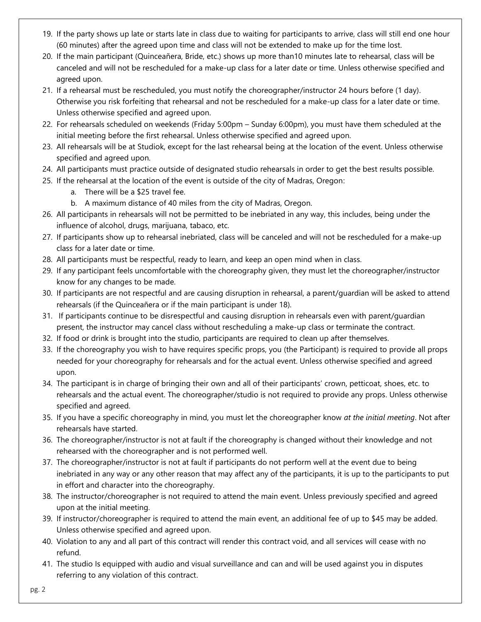- 19. If the party shows up late or starts late in class due to waiting for participants to arrive, class will still end one hour (60 minutes) after the agreed upon time and class will not be extended to make up for the time lost.
- 20. If the main participant (Quinceañera, Bride, etc.) shows up more than10 minutes late to rehearsal, class will be canceled and will not be rescheduled for a make-up class for a later date or time. Unless otherwise specified and agreed upon.
- 21. If a rehearsal must be rescheduled, you must notify the choreographer/instructor 24 hours before (1 day). Otherwise you risk forfeiting that rehearsal and not be rescheduled for a make-up class for a later date or time. Unless otherwise specified and agreed upon.
- 22. For rehearsals scheduled on weekends (Friday 5:00pm Sunday 6:00pm), you must have them scheduled at the initial meeting before the first rehearsal. Unless otherwise specified and agreed upon.
- 23. All rehearsals will be at Studiok, except for the last rehearsal being at the location of the event. Unless otherwise specified and agreed upon.
- 24. All participants must practice outside of designated studio rehearsals in order to get the best results possible.
- 25. If the rehearsal at the location of the event is outside of the city of Madras, Oregon:
	- a. There will be a \$25 travel fee.
	- b. A maximum distance of 40 miles from the city of Madras, Oregon.
- 26. All participants in rehearsals will not be permitted to be inebriated in any way, this includes, being under the influence of alcohol, drugs, marijuana, tabaco, etc.
- 27. If participants show up to rehearsal inebriated, class will be canceled and will not be rescheduled for a make-up class for a later date or time.
- 28. All participants must be respectful, ready to learn, and keep an open mind when in class.
- 29. If any participant feels uncomfortable with the choreography given, they must let the choreographer/instructor know for any changes to be made.
- 30. If participants are not respectful and are causing disruption in rehearsal, a parent/guardian will be asked to attend rehearsals (if the Quinceañera or if the main participant is under 18).
- 31. If participants continue to be disrespectful and causing disruption in rehearsals even with parent/guardian present, the instructor may cancel class without rescheduling a make-up class or terminate the contract.
- 32. If food or drink is brought into the studio, participants are required to clean up after themselves.
- 33. If the choreography you wish to have requires specific props, you (the Participant) is required to provide all props needed for your choreography for rehearsals and for the actual event. Unless otherwise specified and agreed upon.
- 34. The participant is in charge of bringing their own and all of their participants' crown, petticoat, shoes, etc. to rehearsals and the actual event. The choreographer/studio is not required to provide any props. Unless otherwise specified and agreed.
- 35. If you have a specific choreography in mind, you must let the choreographer know *at the initial meeting*. Not after rehearsals have started.
- 36. The choreographer/instructor is not at fault if the choreography is changed without their knowledge and not rehearsed with the choreographer and is not performed well.
- 37. The choreographer/instructor is not at fault if participants do not perform well at the event due to being inebriated in any way or any other reason that may affect any of the participants, it is up to the participants to put in effort and character into the choreography.
- 38. The instructor/choreographer is not required to attend the main event. Unless previously specified and agreed upon at the initial meeting.
- 39. If instructor/choreographer is required to attend the main event, an additional fee of up to \$45 may be added. Unless otherwise specified and agreed upon.
- 40. Violation to any and all part of this contract will render this contract void, and all services will cease with no refund.
- 41. The studio Is equipped with audio and visual surveillance and can and will be used against you in disputes referring to any violation of this contract.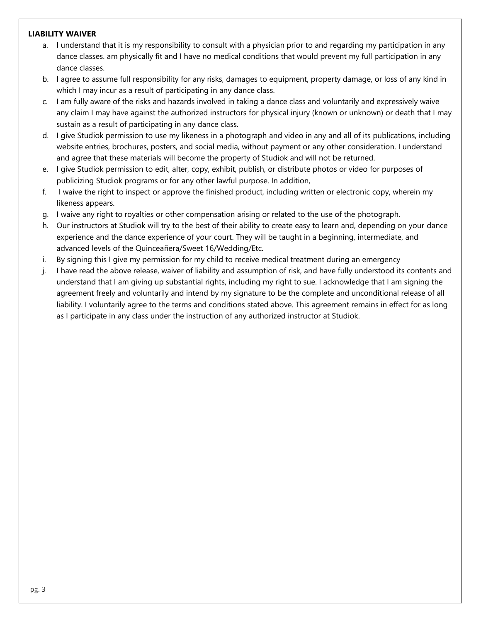## **LIABILITY WAIVER**

- a. I understand that it is my responsibility to consult with a physician prior to and regarding my participation in any dance classes. am physically fit and I have no medical conditions that would prevent my full participation in any dance classes.
- b. I agree to assume full responsibility for any risks, damages to equipment, property damage, or loss of any kind in which I may incur as a result of participating in any dance class.
- c. I am fully aware of the risks and hazards involved in taking a dance class and voluntarily and expressively waive any claim I may have against the authorized instructors for physical injury (known or unknown) or death that I may sustain as a result of participating in any dance class.
- d. I give Studiok permission to use my likeness in a photograph and video in any and all of its publications, including website entries, brochures, posters, and social media, without payment or any other consideration. I understand and agree that these materials will become the property of Studiok and will not be returned.
- e. I give Studiok permission to edit, alter, copy, exhibit, publish, or distribute photos or video for purposes of publicizing Studiok programs or for any other lawful purpose. In addition,
- f. I waive the right to inspect or approve the finished product, including written or electronic copy, wherein my likeness appears.
- g. I waive any right to royalties or other compensation arising or related to the use of the photograph.
- h. Our instructors at Studiok will try to the best of their ability to create easy to learn and, depending on your dance experience and the dance experience of your court. They will be taught in a beginning, intermediate, and advanced levels of the Quinceañera/Sweet 16/Wedding/Etc.
- i. By signing this I give my permission for my child to receive medical treatment during an emergency
- j. I have read the above release, waiver of liability and assumption of risk, and have fully understood its contents and understand that I am giving up substantial rights, including my right to sue. I acknowledge that I am signing the agreement freely and voluntarily and intend by my signature to be the complete and unconditional release of all liability. I voluntarily agree to the terms and conditions stated above. This agreement remains in effect for as long as I participate in any class under the instruction of any authorized instructor at Studiok.